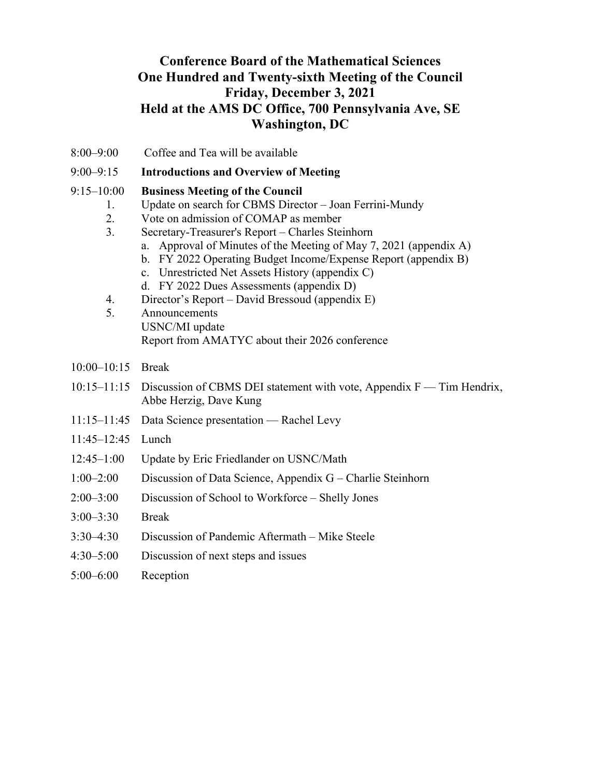### **Conference Board of the Mathematical Sciences One Hundred and Twenty-sixth Meeting of the Council Friday, December 3, 2021 Held at the AMS DC Office, 700 Pennsylvania Ave, SE Washington, DC**

- 8:00–9:00 Coffee and Tea will be available
- 9:00–9:15 **Introductions and Overview of Meeting**

#### 9:15–10:00 **Business Meeting of the Council**

- 1. Update on search for CBMS Director Joan Ferrini-Mundy
- 2. Vote on admission of COMAP as member
- 3. Secretary-Treasurer's Report Charles Steinhorn
	- a. Approval of Minutes of the Meeting of May 7, 2021 (appendix A)
	- b. FY 2022 Operating Budget Income/Expense Report (appendix B)
	- c. Unrestricted Net Assets History (appendix C)
	- d. FY 2022 Dues Assessments (appendix D)
- 4. Director's Report David Bressoud (appendix E)
- 5. Announcements USNC/MI update Report from AMATYC about their 2026 conference
- 10:00–10:15 Break
- 10:15–11:15 Discussion of CBMS DEI statement with vote, Appendix F Tim Hendrix, Abbe Herzig, Dave Kung
- 11:15–11:45 Data Science presentation Rachel Levy
- 11:45–12:45 Lunch
- 12:45–1:00 Update by Eric Friedlander on USNC/Math
- 1:00–2:00 Discussion of Data Science, Appendix G Charlie Steinhorn
- 2:00–3:00 Discussion of School to Workforce Shelly Jones
- 3:00–3:30 Break
- 3:30–4:30 Discussion of Pandemic Aftermath Mike Steele
- 4:30–5:00 Discussion of next steps and issues
- 5:00–6:00 Reception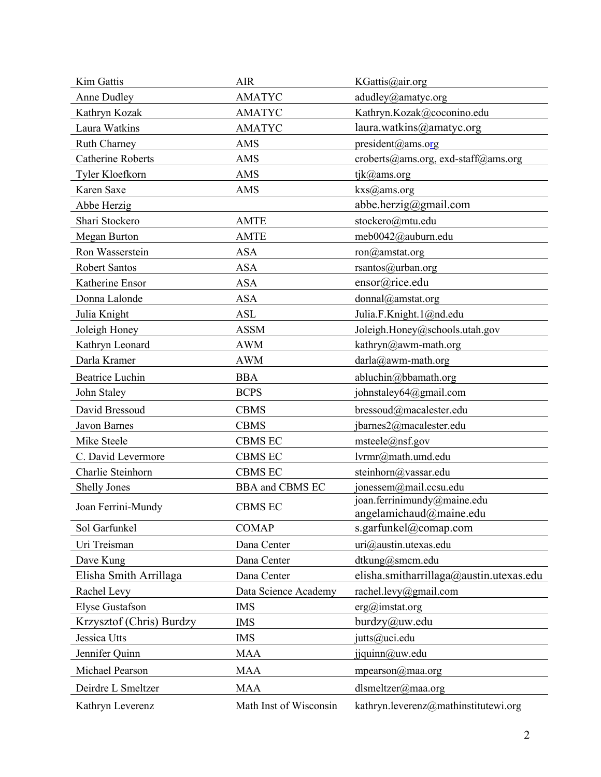| <b>Kim Gattis</b>        | AIR                    | KGattis@air.org                                        |  |
|--------------------------|------------------------|--------------------------------------------------------|--|
| <b>Anne Dudley</b>       | <b>AMATYC</b>          | adudley@amatyc.org                                     |  |
| Kathryn Kozak            | <b>AMATYC</b>          | Kathryn.Kozak@coconino.edu                             |  |
| Laura Watkins            | <b>AMATYC</b>          | laura.watkins@amatyc.org                               |  |
| Ruth Charney             | <b>AMS</b>             | president@ams.org                                      |  |
| <b>Catherine Roberts</b> | <b>AMS</b>             | croberts@ams.org, exd-staff@ams.org                    |  |
| Tyler Kloefkorn          | <b>AMS</b>             | tjk@ams.org                                            |  |
| Karen Saxe               | <b>AMS</b>             | kxs@ams.org                                            |  |
| Abbe Herzig              |                        | abbe.herzig@gmail.com                                  |  |
| Shari Stockero           | <b>AMTE</b>            | stockero@mtu.edu                                       |  |
| <b>Megan Burton</b>      | <b>AMTE</b>            | meb0042@auburn.edu                                     |  |
| Ron Wasserstein          | <b>ASA</b>             | ron@amstat.org                                         |  |
| <b>Robert Santos</b>     | <b>ASA</b>             | rsantos@urban.org                                      |  |
| Katherine Ensor          | <b>ASA</b>             | ensor@rice.edu                                         |  |
| Donna Lalonde            | <b>ASA</b>             | donnal@amstat.org                                      |  |
| Julia Knight             | <b>ASL</b>             | Julia.F.Knight.1@nd.edu                                |  |
| Joleigh Honey            | <b>ASSM</b>            | Joleigh.Honey@schools.utah.gov                         |  |
| Kathryn Leonard          | <b>AWM</b>             | kathryn@awm-math.org                                   |  |
| Darla Kramer             | <b>AWM</b>             | darla@awm-math.org                                     |  |
| <b>Beatrice Luchin</b>   | <b>BBA</b>             | abluchin@bbamath.org                                   |  |
| John Staley              | <b>BCPS</b>            | johnstaley64@gmail.com                                 |  |
| David Bressoud           | <b>CBMS</b>            | bressoud@macalester.edu                                |  |
| <b>Javon Barnes</b>      | <b>CBMS</b>            | jbarnes2@macalester.edu                                |  |
| Mike Steele              | <b>CBMS EC</b>         | msteele(@nsf.gov)                                      |  |
| C. David Levermore       | <b>CBMS EC</b>         | lvrmr@math.umd.edu                                     |  |
| Charlie Steinhorn        | <b>CBMS EC</b>         | steinhorn@vassar.edu                                   |  |
| <b>Shelly Jones</b>      | <b>BBA</b> and CBMS EC | jonessem@mail.ccsu.edu                                 |  |
| Joan Ferrini-Mundy       | <b>CBMS EC</b>         | joan.ferrinimundy@maine.edu<br>angelamichaud@maine.edu |  |
| Sol Garfunkel            | <b>COMAP</b>           | s.garfunkel@comap.com                                  |  |
| Uri Treisman             | Dana Center            | uri@austin.utexas.edu                                  |  |
| Dave Kung                | Dana Center            | dtkung@smcm.edu                                        |  |
| Elisha Smith Arrillaga   | Dana Center            | elisha.smitharrillaga@austin.utexas.edu                |  |
| Rachel Levy              | Data Science Academy   | rachel.levy@gmail.com                                  |  |
| <b>Elyse Gustafson</b>   | <b>IMS</b>             | $erg(\omega)$ imstat.org                               |  |
| Krzysztof (Chris) Burdzy | <b>IMS</b>             | burdzy@uw.edu                                          |  |
| Jessica Utts             | <b>IMS</b>             | jutts@uci.edu                                          |  |
| Jennifer Quinn           | <b>MAA</b>             | jjquinn@uw.edu                                         |  |
| Michael Pearson          | <b>MAA</b>             | mpearson $@$ maa.org                                   |  |
| Deirdre L Smeltzer       | <b>MAA</b>             | dlsmeltzer@maa.org                                     |  |
| Kathryn Leverenz         | Math Inst of Wisconsin | kathryn.leverenz@mathinstitutewi.org                   |  |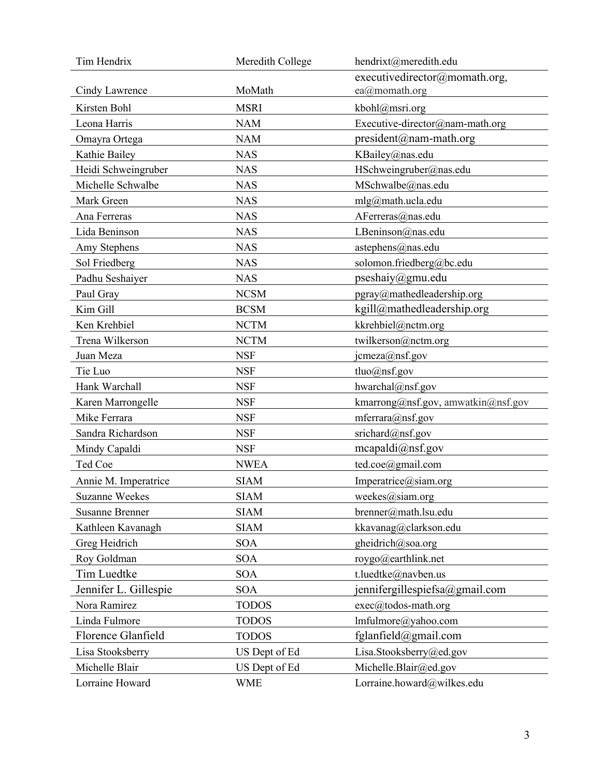| Tim Hendrix            | Meredith College | hendrixt@meredith.edu              |  |
|------------------------|------------------|------------------------------------|--|
|                        |                  | executivedirector@momath.org,      |  |
| Cindy Lawrence         | MoMath           | ea@momath.org                      |  |
| Kirsten Bohl           | <b>MSRI</b>      | kbohl@msri.org                     |  |
| Leona Harris           | <b>NAM</b>       | Executive-director@nam-math.org    |  |
| Omayra Ortega          | <b>NAM</b>       | $president@nam-math.org$           |  |
| Kathie Bailey          | <b>NAS</b>       | KBailey@nas.edu                    |  |
| Heidi Schweingruber    | <b>NAS</b>       | HSchweingruber@nas.edu             |  |
| Michelle Schwalbe      | <b>NAS</b>       | MSchwalbe@nas.edu                  |  |
| Mark Green             | <b>NAS</b>       | $mlg(\omega)$ math.ucla.edu        |  |
| Ana Ferreras           | <b>NAS</b>       | AFerreras@nas.edu                  |  |
| Lida Beninson          | <b>NAS</b>       | LBeninson@nas.edu                  |  |
| Amy Stephens           | <b>NAS</b>       | astephens@nas.edu                  |  |
| Sol Friedberg          | <b>NAS</b>       | solomon.friedberg@bc.edu           |  |
| Padhu Seshaiyer        | <b>NAS</b>       | pseshaiy@gmu.edu                   |  |
| Paul Gray              | <b>NCSM</b>      | pgray@mathedleadership.org         |  |
| Kim Gill               | <b>BCSM</b>      | kgill@mathedleadership.org         |  |
| Ken Krehbiel           | <b>NCTM</b>      | kkrehbiel@nctm.org                 |  |
| Trena Wilkerson        | <b>NCTM</b>      | twilkerson@nctm.org                |  |
| Juan Meza              | <b>NSF</b>       | jcmeza@nsf.gov                     |  |
| Tie Luo                | <b>NSF</b>       | $tluo(\hat{\omega})$ nsf.gov       |  |
| Hank Warchall          | <b>NSF</b>       | hwarchal@nsf.gov                   |  |
| Karen Marrongelle      | <b>NSF</b>       | kmarrong@nsf.gov, amwatkin@nsf.gov |  |
| Mike Ferrara           | <b>NSF</b>       | mferrara@nsf.gov                   |  |
| Sandra Richardson      | <b>NSF</b>       | srichard@nsf.gov                   |  |
| Mindy Capaldi          | <b>NSF</b>       | meapaldi@nsf.gov                   |  |
| Ted Coe                | <b>NWEA</b>      | ted.coe@gmail.com                  |  |
| Annie M. Imperatrice   | <b>SIAM</b>      | Imperatrice@siam.org               |  |
| <b>Suzanne Weekes</b>  | <b>SIAM</b>      | weekes@siam.org                    |  |
| <b>Susanne Brenner</b> | <b>SIAM</b>      | brenner@math.lsu.edu               |  |
| Kathleen Kavanagh      | <b>SIAM</b>      | kkavanag@clarkson.edu              |  |
| Greg Heidrich          | <b>SOA</b>       | gheidrich@soa.org                  |  |
| Roy Goldman            | <b>SOA</b>       | roygo@earthlink.net                |  |
| Tim Luedtke            | <b>SOA</b>       | t.luedtke@navben.us                |  |
| Jennifer L. Gillespie  | <b>SOA</b>       | jennifergillespiefsa@gmail.com     |  |
| Nora Ramirez           | <b>TODOS</b>     | exec@todos-math.org                |  |
| Linda Fulmore          | <b>TODOS</b>     | lmfulmore@yahoo.com                |  |
| Florence Glanfield     | <b>TODOS</b>     | fglanfield@gmail.com               |  |
| Lisa Stooksberry       | US Dept of Ed    | Lisa.Stooksberry@ed.gov            |  |
| Michelle Blair         | US Dept of Ed    | Michelle.Blair@ed.gov              |  |
| Lorraine Howard        | <b>WME</b>       | Lorraine.howard@wilkes.edu         |  |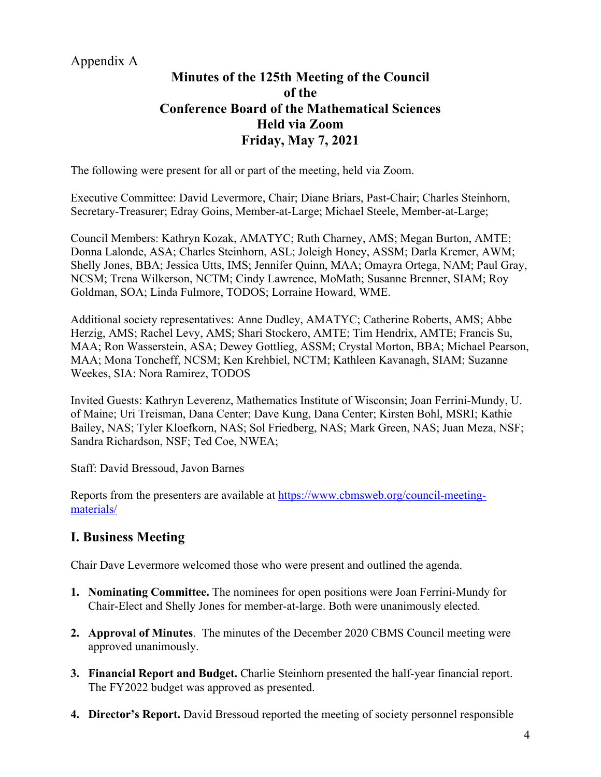### Appendix A

### **Minutes of the 125th Meeting of the Council of the Conference Board of the Mathematical Sciences Held via Zoom Friday, May 7, 2021**

The following were present for all or part of the meeting, held via Zoom.

Executive Committee: David Levermore, Chair; Diane Briars, Past-Chair; Charles Steinhorn, Secretary-Treasurer; Edray Goins, Member-at-Large; Michael Steele, Member-at-Large;

Council Members: Kathryn Kozak, AMATYC; Ruth Charney, AMS; Megan Burton, AMTE; Donna Lalonde, ASA; Charles Steinhorn, ASL; Joleigh Honey, ASSM; Darla Kremer, AWM; Shelly Jones, BBA; Jessica Utts, IMS; Jennifer Quinn, MAA; Omayra Ortega, NAM; Paul Gray, NCSM; Trena Wilkerson, NCTM; Cindy Lawrence, MoMath; Susanne Brenner, SIAM; Roy Goldman, SOA; Linda Fulmore, TODOS; Lorraine Howard, WME.

Additional society representatives: Anne Dudley, AMATYC; Catherine Roberts, AMS; Abbe Herzig, AMS; Rachel Levy, AMS; Shari Stockero, AMTE; Tim Hendrix, AMTE; Francis Su, MAA; Ron Wasserstein, ASA; Dewey Gottlieg, ASSM; Crystal Morton, BBA; Michael Pearson, MAA; Mona Toncheff, NCSM; Ken Krehbiel, NCTM; Kathleen Kavanagh, SIAM; Suzanne Weekes, SIA: Nora Ramirez, TODOS

Invited Guests: Kathryn Leverenz, Mathematics Institute of Wisconsin; Joan Ferrini-Mundy, U. of Maine; Uri Treisman, Dana Center; Dave Kung, Dana Center; Kirsten Bohl, MSRI; Kathie Bailey, NAS; Tyler Kloefkorn, NAS; Sol Friedberg, NAS; Mark Green, NAS; Juan Meza, NSF; Sandra Richardson, NSF; Ted Coe, NWEA;

Staff: David Bressoud, Javon Barnes

Reports from the presenters are available at https://www.cbmsweb.org/council-meetingmaterials/

### **I. Business Meeting**

Chair Dave Levermore welcomed those who were present and outlined the agenda.

- **1. Nominating Committee.** The nominees for open positions were Joan Ferrini-Mundy for Chair-Elect and Shelly Jones for member-at-large. Both were unanimously elected.
- **2. Approval of Minutes**. The minutes of the December 2020 CBMS Council meeting were approved unanimously.
- **3. Financial Report and Budget.** Charlie Steinhorn presented the half-year financial report. The FY2022 budget was approved as presented.
- **4. Director's Report.** David Bressoud reported the meeting of society personnel responsible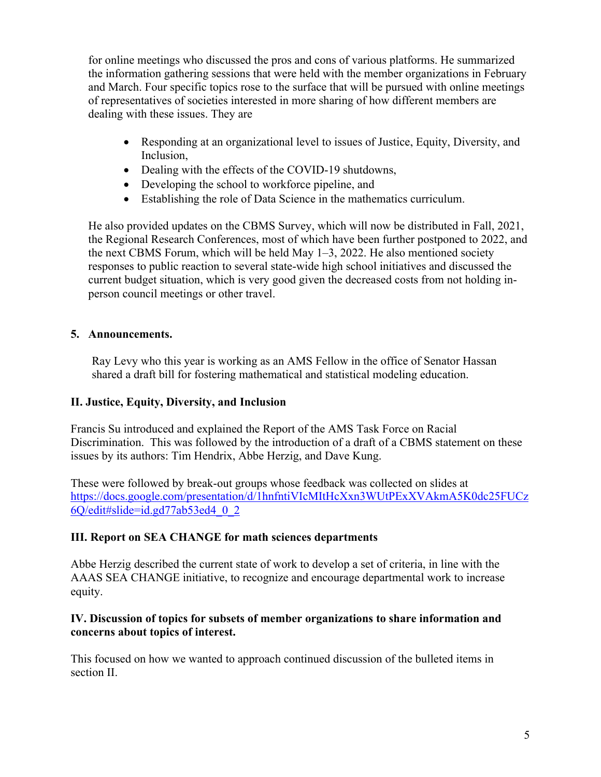for online meetings who discussed the pros and cons of various platforms. He summarized the information gathering sessions that were held with the member organizations in February and March. Four specific topics rose to the surface that will be pursued with online meetings of representatives of societies interested in more sharing of how different members are dealing with these issues. They are

- Responding at an organizational level to issues of Justice, Equity, Diversity, and Inclusion,
- Dealing with the effects of the COVID-19 shutdowns,
- Developing the school to workforce pipeline, and
- Establishing the role of Data Science in the mathematics curriculum.

He also provided updates on the CBMS Survey, which will now be distributed in Fall, 2021, the Regional Research Conferences, most of which have been further postponed to 2022, and the next CBMS Forum, which will be held May 1–3, 2022. He also mentioned society responses to public reaction to several state-wide high school initiatives and discussed the current budget situation, which is very good given the decreased costs from not holding inperson council meetings or other travel.

#### **5. Announcements.**

Ray Levy who this year is working as an AMS Fellow in the office of Senator Hassan shared a draft bill for fostering mathematical and statistical modeling education.

#### **II. Justice, Equity, Diversity, and Inclusion**

Francis Su introduced and explained the Report of the AMS Task Force on Racial Discrimination. This was followed by the introduction of a draft of a CBMS statement on these issues by its authors: Tim Hendrix, Abbe Herzig, and Dave Kung.

These were followed by break-out groups whose feedback was collected on slides at https://docs.google.com/presentation/d/1hnfntiVIcMItHcXxn3WUtPExXVAkmA5K0dc25FUCz 6Q/edit#slide=id.gd77ab53ed4\_0\_2

### **III. Report on SEA CHANGE for math sciences departments**

Abbe Herzig described the current state of work to develop a set of criteria, in line with the AAAS SEA CHANGE initiative, to recognize and encourage departmental work to increase equity.

#### **IV. Discussion of topics for subsets of member organizations to share information and concerns about topics of interest.**

This focused on how we wanted to approach continued discussion of the bulleted items in section II.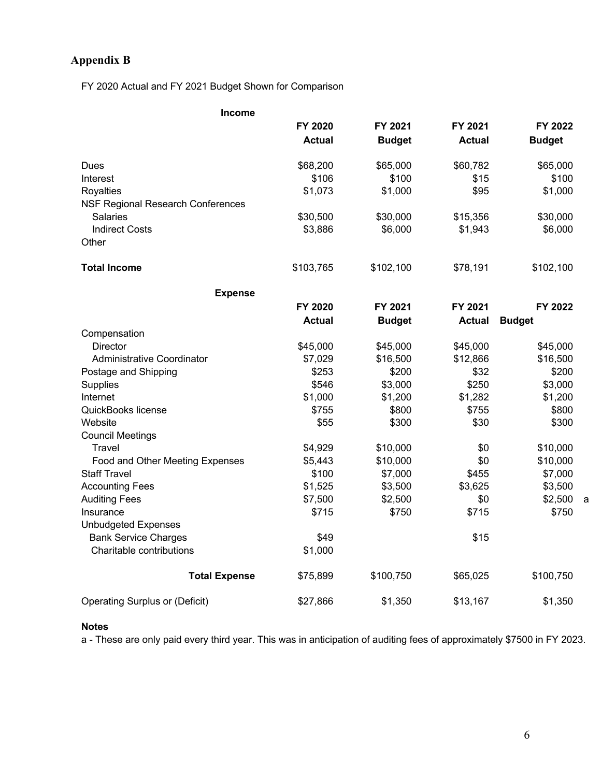### **Appendix B**

FY 2020 Actual and FY 2021 Budget Shown for Comparison

| Income                                   |               |               |               |               |   |
|------------------------------------------|---------------|---------------|---------------|---------------|---|
|                                          | FY 2020       | FY 2021       | FY 2021       | FY 2022       |   |
|                                          | <b>Actual</b> | <b>Budget</b> | <b>Actual</b> | <b>Budget</b> |   |
| Dues                                     | \$68,200      | \$65,000      | \$60,782      | \$65,000      |   |
| Interest                                 | \$106         | \$100         | \$15          | \$100         |   |
| <b>Royalties</b>                         | \$1,073       | \$1,000       | \$95          | \$1,000       |   |
| <b>NSF Regional Research Conferences</b> |               |               |               |               |   |
| Salaries                                 | \$30,500      | \$30,000      | \$15,356      | \$30,000      |   |
| <b>Indirect Costs</b>                    | \$3,886       | \$6,000       | \$1,943       | \$6,000       |   |
| Other                                    |               |               |               |               |   |
| <b>Total Income</b>                      | \$103,765     | \$102,100     | \$78,191      | \$102,100     |   |
| <b>Expense</b>                           |               |               |               |               |   |
|                                          | FY 2020       | FY 2021       | FY 2021       | FY 2022       |   |
|                                          | <b>Actual</b> | <b>Budget</b> | <b>Actual</b> | <b>Budget</b> |   |
| Compensation                             |               |               |               |               |   |
| <b>Director</b>                          | \$45,000      | \$45,000      | \$45,000      | \$45,000      |   |
| Administrative Coordinator               | \$7,029       | \$16,500      | \$12,866      | \$16,500      |   |
| Postage and Shipping                     | \$253         | \$200         | \$32          | \$200         |   |
| Supplies                                 | \$546         | \$3,000       | \$250         | \$3,000       |   |
| Internet                                 | \$1,000       | \$1,200       | \$1,282       | \$1,200       |   |
| QuickBooks license                       | \$755         | \$800         | \$755         | \$800         |   |
| Website                                  | \$55          | \$300         | \$30          | \$300         |   |
| <b>Council Meetings</b>                  |               |               |               |               |   |
| Travel                                   | \$4,929       | \$10,000      | \$0           | \$10,000      |   |
| Food and Other Meeting Expenses          | \$5,443       | \$10,000      | \$0           | \$10,000      |   |
| <b>Staff Travel</b>                      | \$100         | \$7,000       | \$455         | \$7,000       |   |
| <b>Accounting Fees</b>                   | \$1,525       | \$3,500       | \$3,625       | \$3,500       |   |
| <b>Auditing Fees</b>                     | \$7,500       | \$2,500       | \$0           | \$2,500       | a |
| Insurance                                | \$715         | \$750         | \$715         | \$750         |   |
| <b>Unbudgeted Expenses</b>               |               |               |               |               |   |
| <b>Bank Service Charges</b>              | \$49          |               | \$15          |               |   |
| Charitable contributions                 | \$1,000       |               |               |               |   |
| <b>Total Expense</b>                     | \$75,899      | \$100,750     | \$65,025      | \$100,750     |   |
| <b>Operating Surplus or (Deficit)</b>    | \$27,866      | \$1,350       | \$13,167      | \$1,350       |   |

#### **Notes**

a - These are only paid every third year. This was in anticipation of auditing fees of approximately \$7500 in FY 2023.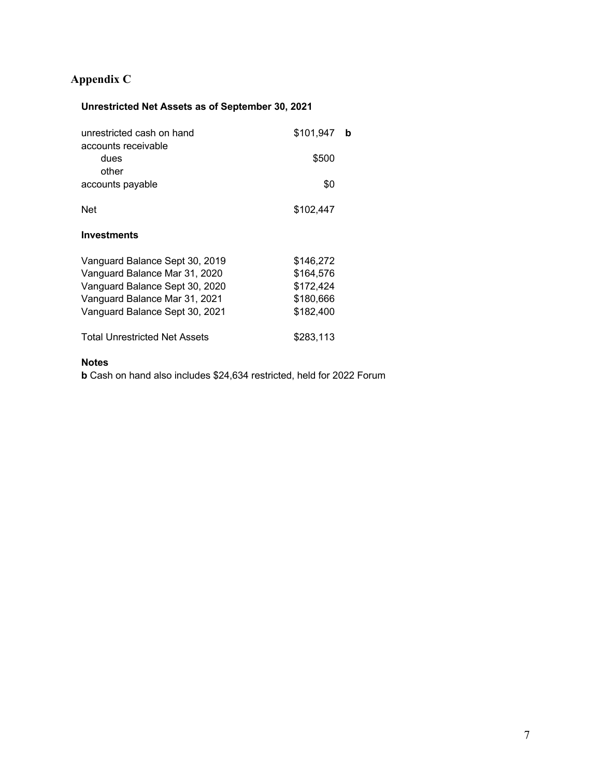### **Appendix C**

### **Unrestricted Net Assets as of September 30, 2021**

| unrestricted cash on hand<br>accounts receivable | \$101,947 | b |
|--------------------------------------------------|-----------|---|
| dues<br>other                                    | \$500     |   |
|                                                  |           |   |
| accounts payable                                 | \$0       |   |
| <b>Net</b>                                       | \$102,447 |   |
| <b>Investments</b>                               |           |   |
| Vanguard Balance Sept 30, 2019                   | \$146,272 |   |
| Vanguard Balance Mar 31, 2020                    | \$164,576 |   |
| Vanguard Balance Sept 30, 2020                   | \$172,424 |   |
| Vanguard Balance Mar 31, 2021                    | \$180,666 |   |
| Vanguard Balance Sept 30, 2021                   | \$182,400 |   |
| <b>Total Unrestricted Net Assets</b>             | \$283,113 |   |

#### **Notes**

**b** Cash on hand also includes \$24,634 restricted, held for 2022 Forum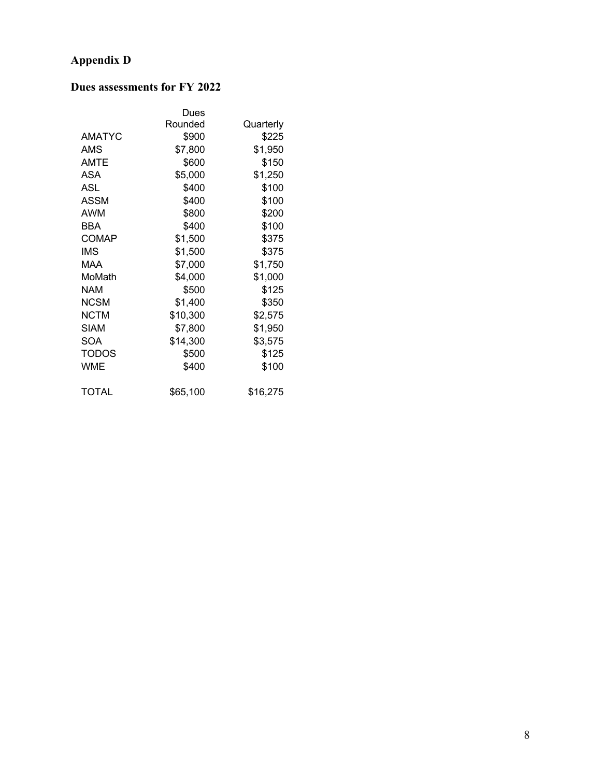### **Appendix D**

### **Dues assessments for FY 2022**

|               | Dues     |           |
|---------------|----------|-----------|
|               | Rounded  | Quarterly |
| <b>AMATYC</b> | \$900    | \$225     |
| AMS           | \$7,800  | \$1,950   |
| <b>AMTE</b>   | \$600    | \$150     |
| ASA           | \$5,000  | \$1,250   |
| ASL           | \$400    | \$100     |
| <b>ASSM</b>   | \$400    | \$100     |
| AWM           | \$800    | \$200     |
| <b>BBA</b>    | \$400    | \$100     |
| <b>COMAP</b>  | \$1,500  | \$375     |
| IMS           | \$1,500  | \$375     |
| MAA           | \$7,000  | \$1,750   |
| MoMath        | \$4,000  | \$1,000   |
| <b>NAM</b>    | \$500    | \$125     |
| NCSM          | \$1,400  | \$350     |
| <b>NCTM</b>   | \$10,300 | \$2,575   |
| <b>SIAM</b>   | \$7,800  | \$1,950   |
| SOA           | \$14,300 | \$3,575   |
| TODOS         | \$500    | \$125     |
| <b>WME</b>    | \$400    | \$100     |
| <b>TOTAL</b>  | \$65,100 | \$16,275  |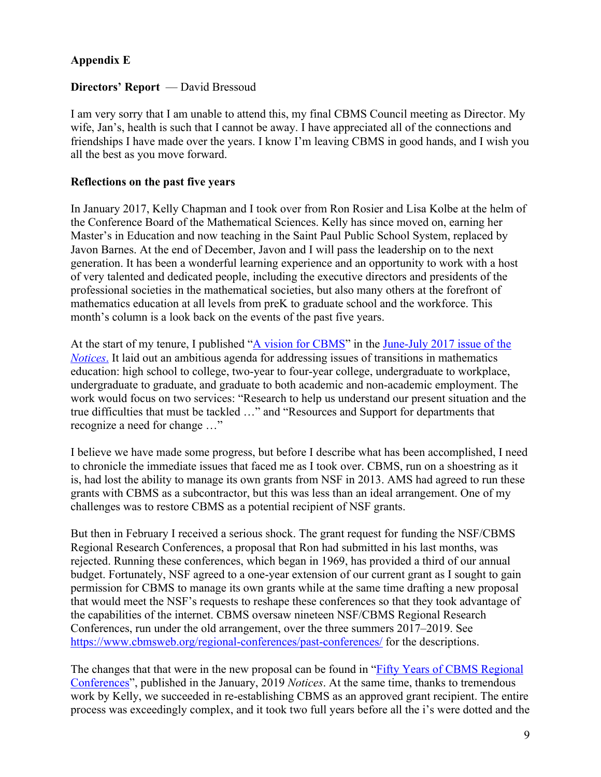### **Appendix E**

#### **Directors' Report** — David Bressoud

I am very sorry that I am unable to attend this, my final CBMS Council meeting as Director. My wife, Jan's, health is such that I cannot be away. I have appreciated all of the connections and friendships I have made over the years. I know I'm leaving CBMS in good hands, and I wish you all the best as you move forward.

#### **Reflections on the past five years**

In January 2017, Kelly Chapman and I took over from Ron Rosier and Lisa Kolbe at the helm of the Conference Board of the Mathematical Sciences. Kelly has since moved on, earning her Master's in Education and now teaching in the Saint Paul Public School System, replaced by Javon Barnes. At the end of December, Javon and I will pass the leadership on to the next generation. It has been a wonderful learning experience and an opportunity to work with a host of very talented and dedicated people, including the executive directors and presidents of the professional societies in the mathematical societies, but also many others at the forefront of mathematics education at all levels from preK to graduate school and the workforce. This month's column is a look back on the events of the past five years.

At the start of my tenure, I published "A vision for CBMS" in the June-July 2017 issue of the *Notices*. It laid out an ambitious agenda for addressing issues of transitions in mathematics education: high school to college, two-year to four-year college, undergraduate to workplace, undergraduate to graduate, and graduate to both academic and non-academic employment. The work would focus on two services: "Research to help us understand our present situation and the true difficulties that must be tackled …" and "Resources and Support for departments that recognize a need for change …"

I believe we have made some progress, but before I describe what has been accomplished, I need to chronicle the immediate issues that faced me as I took over. CBMS, run on a shoestring as it is, had lost the ability to manage its own grants from NSF in 2013. AMS had agreed to run these grants with CBMS as a subcontractor, but this was less than an ideal arrangement. One of my challenges was to restore CBMS as a potential recipient of NSF grants.

But then in February I received a serious shock. The grant request for funding the NSF/CBMS Regional Research Conferences, a proposal that Ron had submitted in his last months, was rejected. Running these conferences, which began in 1969, has provided a third of our annual budget. Fortunately, NSF agreed to a one-year extension of our current grant as I sought to gain permission for CBMS to manage its own grants while at the same time drafting a new proposal that would meet the NSF's requests to reshape these conferences so that they took advantage of the capabilities of the internet. CBMS oversaw nineteen NSF/CBMS Regional Research Conferences, run under the old arrangement, over the three summers 2017–2019. See https://www.cbmsweb.org/regional-conferences/past-conferences/ for the descriptions.

The changes that that were in the new proposal can be found in "Fifty Years of CBMS Regional Conferences", published in the January, 2019 *Notices*. At the same time, thanks to tremendous work by Kelly, we succeeded in re-establishing CBMS as an approved grant recipient. The entire process was exceedingly complex, and it took two full years before all the i's were dotted and the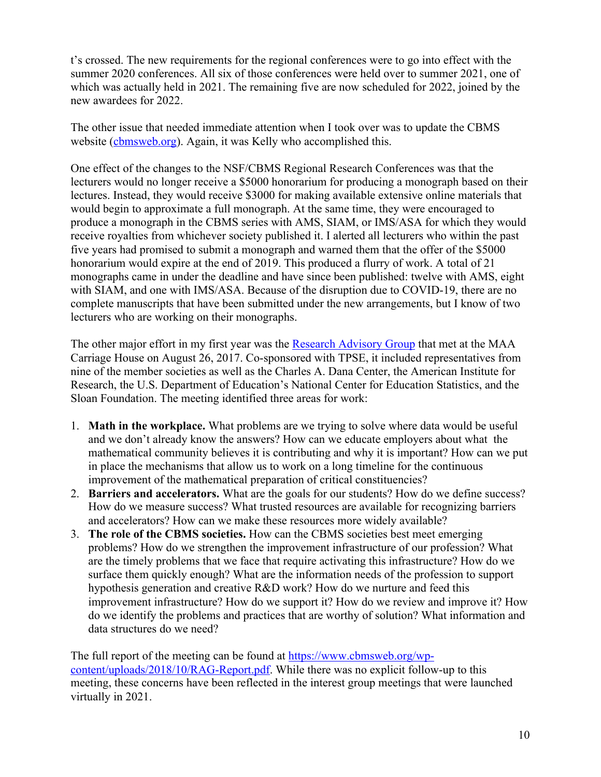t's crossed. The new requirements for the regional conferences were to go into effect with the summer 2020 conferences. All six of those conferences were held over to summer 2021, one of which was actually held in 2021. The remaining five are now scheduled for 2022, joined by the new awardees for 2022.

The other issue that needed immediate attention when I took over was to update the CBMS website (cbmsweb.org). Again, it was Kelly who accomplished this.

One effect of the changes to the NSF/CBMS Regional Research Conferences was that the lecturers would no longer receive a \$5000 honorarium for producing a monograph based on their lectures. Instead, they would receive \$3000 for making available extensive online materials that would begin to approximate a full monograph. At the same time, they were encouraged to produce a monograph in the CBMS series with AMS, SIAM, or IMS/ASA for which they would receive royalties from whichever society published it. I alerted all lecturers who within the past five years had promised to submit a monograph and warned them that the offer of the \$5000 honorarium would expire at the end of 2019. This produced a flurry of work. A total of 21 monographs came in under the deadline and have since been published: twelve with AMS, eight with SIAM, and one with IMS/ASA. Because of the disruption due to COVID-19, there are no complete manuscripts that have been submitted under the new arrangements, but I know of two lecturers who are working on their monographs.

The other major effort in my first year was the Research Advisory Group that met at the MAA Carriage House on August 26, 2017. Co-sponsored with TPSE, it included representatives from nine of the member societies as well as the Charles A. Dana Center, the American Institute for Research, the U.S. Department of Education's National Center for Education Statistics, and the Sloan Foundation. The meeting identified three areas for work:

- 1. **Math in the workplace.** What problems are we trying to solve where data would be useful and we don't already know the answers? How can we educate employers about what the mathematical community believes it is contributing and why it is important? How can we put in place the mechanisms that allow us to work on a long timeline for the continuous improvement of the mathematical preparation of critical constituencies?
- 2. **Barriers and accelerators.** What are the goals for our students? How do we define success? How do we measure success? What trusted resources are available for recognizing barriers and accelerators? How can we make these resources more widely available?
- 3. **The role of the CBMS societies.** How can the CBMS societies best meet emerging problems? How do we strengthen the improvement infrastructure of our profession? What are the timely problems that we face that require activating this infrastructure? How do we surface them quickly enough? What are the information needs of the profession to support hypothesis generation and creative R&D work? How do we nurture and feed this improvement infrastructure? How do we support it? How do we review and improve it? How do we identify the problems and practices that are worthy of solution? What information and data structures do we need?

The full report of the meeting can be found at https://www.cbmsweb.org/wpcontent/uploads/2018/10/RAG-Report.pdf. While there was no explicit follow-up to this meeting, these concerns have been reflected in the interest group meetings that were launched virtually in 2021.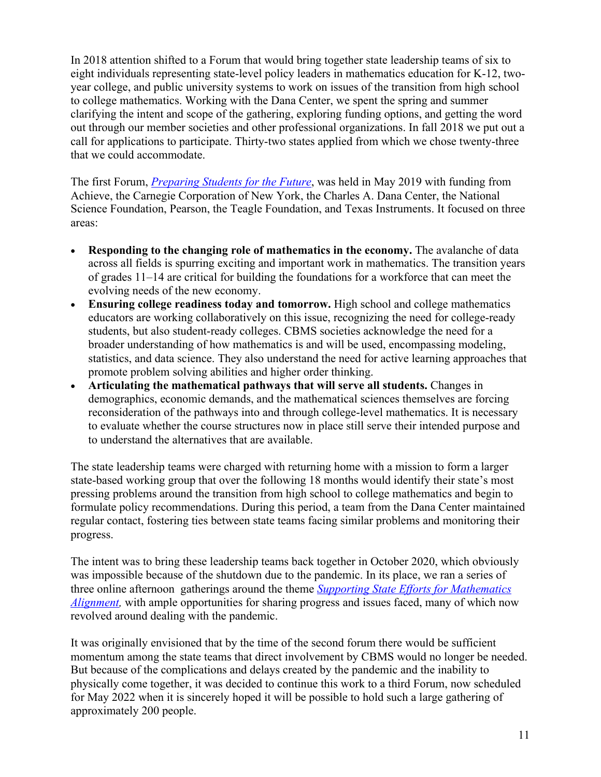In 2018 attention shifted to a Forum that would bring together state leadership teams of six to eight individuals representing state-level policy leaders in mathematics education for K-12, twoyear college, and public university systems to work on issues of the transition from high school to college mathematics. Working with the Dana Center, we spent the spring and summer clarifying the intent and scope of the gathering, exploring funding options, and getting the word out through our member societies and other professional organizations. In fall 2018 we put out a call for applications to participate. Thirty-two states applied from which we chose twenty-three that we could accommodate.

The first Forum, *Preparing Students for the Future*, was held in May 2019 with funding from Achieve, the Carnegie Corporation of New York, the Charles A. Dana Center, the National Science Foundation, Pearson, the Teagle Foundation, and Texas Instruments. It focused on three areas:

- **Responding to the changing role of mathematics in the economy.** The avalanche of data across all fields is spurring exciting and important work in mathematics. The transition years of grades 11–14 are critical for building the foundations for a workforce that can meet the evolving needs of the new economy.
- **Ensuring college readiness today and tomorrow.** High school and college mathematics educators are working collaboratively on this issue, recognizing the need for college-ready students, but also student-ready colleges. CBMS societies acknowledge the need for a broader understanding of how mathematics is and will be used, encompassing modeling, statistics, and data science. They also understand the need for active learning approaches that promote problem solving abilities and higher order thinking.
- **Articulating the mathematical pathways that will serve all students.** Changes in demographics, economic demands, and the mathematical sciences themselves are forcing reconsideration of the pathways into and through college-level mathematics. It is necessary to evaluate whether the course structures now in place still serve their intended purpose and to understand the alternatives that are available.

The state leadership teams were charged with returning home with a mission to form a larger state-based working group that over the following 18 months would identify their state's most pressing problems around the transition from high school to college mathematics and begin to formulate policy recommendations. During this period, a team from the Dana Center maintained regular contact, fostering ties between state teams facing similar problems and monitoring their progress.

The intent was to bring these leadership teams back together in October 2020, which obviously was impossible because of the shutdown due to the pandemic. In its place, we ran a series of three online afternoon gatherings around the theme *Supporting State Efforts for Mathematics Alignment*, with ample opportunities for sharing progress and issues faced, many of which now revolved around dealing with the pandemic.

It was originally envisioned that by the time of the second forum there would be sufficient momentum among the state teams that direct involvement by CBMS would no longer be needed. But because of the complications and delays created by the pandemic and the inability to physically come together, it was decided to continue this work to a third Forum, now scheduled for May 2022 when it is sincerely hoped it will be possible to hold such a large gathering of approximately 200 people.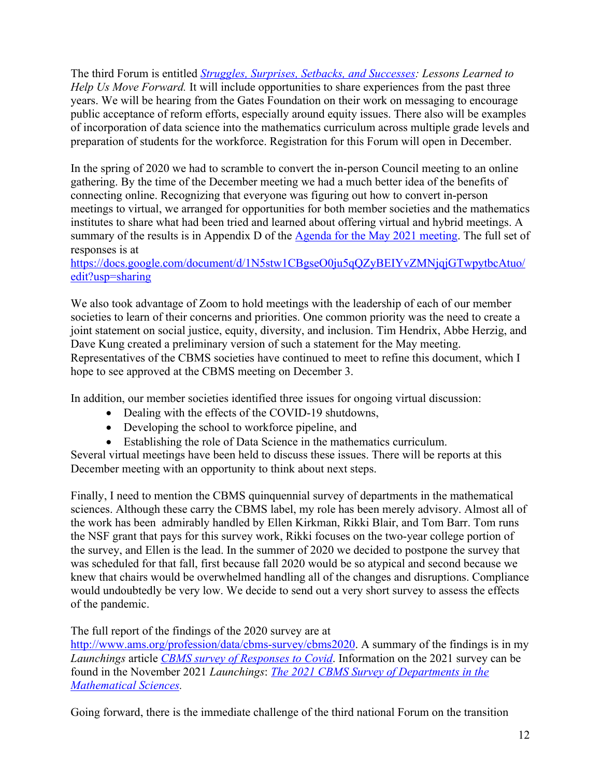The third Forum is entitled *Struggles, Surprises, Setbacks, and Successes: Lessons Learned to Help Us Move Forward.* It will include opportunities to share experiences from the past three years. We will be hearing from the Gates Foundation on their work on messaging to encourage public acceptance of reform efforts, especially around equity issues. There also will be examples of incorporation of data science into the mathematics curriculum across multiple grade levels and preparation of students for the workforce. Registration for this Forum will open in December.

In the spring of 2020 we had to scramble to convert the in-person Council meeting to an online gathering. By the time of the December meeting we had a much better idea of the benefits of connecting online. Recognizing that everyone was figuring out how to convert in-person meetings to virtual, we arranged for opportunities for both member societies and the mathematics institutes to share what had been tried and learned about offering virtual and hybrid meetings. A summary of the results is in Appendix D of the Agenda for the May 2021 meeting. The full set of responses is at

https://docs.google.com/document/d/1N5stw1CBgseO0ju5qQZyBEIYvZMNjqjGTwpytbcAtuo/ edit?usp=sharing

We also took advantage of Zoom to hold meetings with the leadership of each of our member societies to learn of their concerns and priorities. One common priority was the need to create a joint statement on social justice, equity, diversity, and inclusion. Tim Hendrix, Abbe Herzig, and Dave Kung created a preliminary version of such a statement for the May meeting. Representatives of the CBMS societies have continued to meet to refine this document, which I hope to see approved at the CBMS meeting on December 3.

In addition, our member societies identified three issues for ongoing virtual discussion:

- Dealing with the effects of the COVID-19 shutdowns,
- Developing the school to workforce pipeline, and
- Establishing the role of Data Science in the mathematics curriculum.

Several virtual meetings have been held to discuss these issues. There will be reports at this December meeting with an opportunity to think about next steps.

Finally, I need to mention the CBMS quinquennial survey of departments in the mathematical sciences. Although these carry the CBMS label, my role has been merely advisory. Almost all of the work has been admirably handled by Ellen Kirkman, Rikki Blair, and Tom Barr. Tom runs the NSF grant that pays for this survey work, Rikki focuses on the two-year college portion of the survey, and Ellen is the lead. In the summer of 2020 we decided to postpone the survey that was scheduled for that fall, first because fall 2020 would be so atypical and second because we knew that chairs would be overwhelmed handling all of the changes and disruptions. Compliance would undoubtedly be very low. We decide to send out a very short survey to assess the effects of the pandemic.

The full report of the findings of the 2020 survey are at

http://www.ams.org/profession/data/cbms-survey/cbms2020. A summary of the findings is in my *Launchings* article *CBMS survey of Responses to Covid*. Information on the 2021 survey can be found in the November 2021 *Launchings*: *The 2021 CBMS Survey of Departments in the Mathematical Sciences.*

Going forward, there is the immediate challenge of the third national Forum on the transition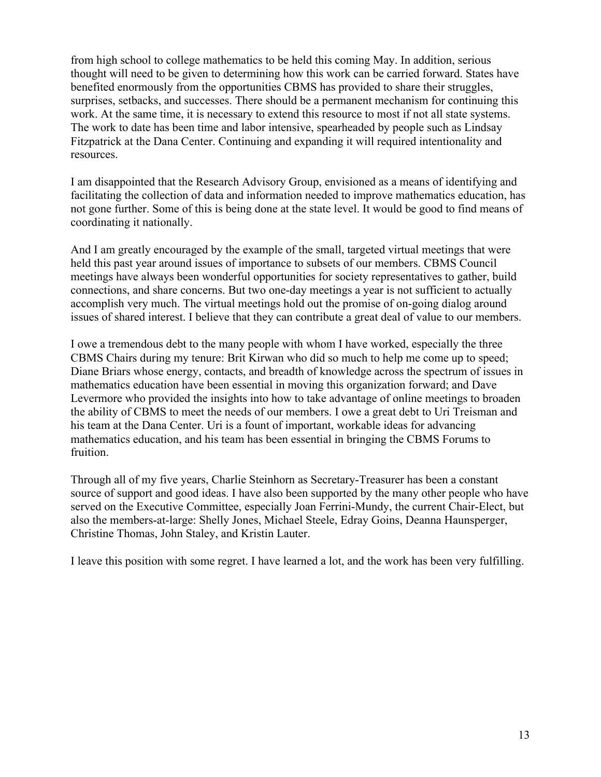from high school to college mathematics to be held this coming May. In addition, serious thought will need to be given to determining how this work can be carried forward. States have benefited enormously from the opportunities CBMS has provided to share their struggles, surprises, setbacks, and successes. There should be a permanent mechanism for continuing this work. At the same time, it is necessary to extend this resource to most if not all state systems. The work to date has been time and labor intensive, spearheaded by people such as Lindsay Fitzpatrick at the Dana Center. Continuing and expanding it will required intentionality and resources.

I am disappointed that the Research Advisory Group, envisioned as a means of identifying and facilitating the collection of data and information needed to improve mathematics education, has not gone further. Some of this is being done at the state level. It would be good to find means of coordinating it nationally.

And I am greatly encouraged by the example of the small, targeted virtual meetings that were held this past year around issues of importance to subsets of our members. CBMS Council meetings have always been wonderful opportunities for society representatives to gather, build connections, and share concerns. But two one-day meetings a year is not sufficient to actually accomplish very much. The virtual meetings hold out the promise of on-going dialog around issues of shared interest. I believe that they can contribute a great deal of value to our members.

I owe a tremendous debt to the many people with whom I have worked, especially the three CBMS Chairs during my tenure: Brit Kirwan who did so much to help me come up to speed; Diane Briars whose energy, contacts, and breadth of knowledge across the spectrum of issues in mathematics education have been essential in moving this organization forward; and Dave Levermore who provided the insights into how to take advantage of online meetings to broaden the ability of CBMS to meet the needs of our members. I owe a great debt to Uri Treisman and his team at the Dana Center. Uri is a fount of important, workable ideas for advancing mathematics education, and his team has been essential in bringing the CBMS Forums to fruition.

Through all of my five years, Charlie Steinhorn as Secretary-Treasurer has been a constant source of support and good ideas. I have also been supported by the many other people who have served on the Executive Committee, especially Joan Ferrini-Mundy, the current Chair-Elect, but also the members-at-large: Shelly Jones, Michael Steele, Edray Goins, Deanna Haunsperger, Christine Thomas, John Staley, and Kristin Lauter.

I leave this position with some regret. I have learned a lot, and the work has been very fulfilling.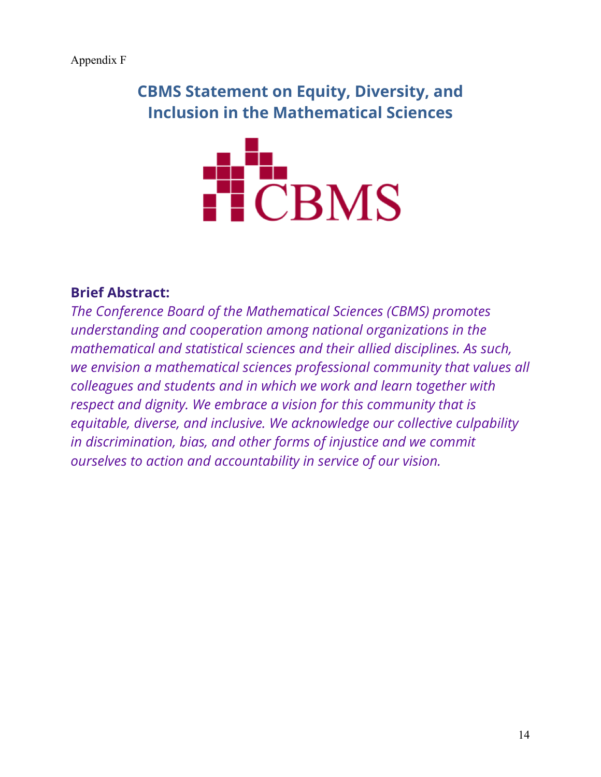**CBMS Statement on Equity, Diversity, and Inclusion in the Mathematical Sciences**



# **Brief Abstract:**

*The Conference Board of the Mathematical Sciences (CBMS) promotes understanding and cooperation among national organizations in the mathematical and statistical sciences and their allied disciplines. As such, we envision a mathematical sciences professional community that values all colleagues and students and in which we work and learn together with respect and dignity. We embrace a vision for this community that is equitable, diverse, and inclusive. We acknowledge our collective culpability in discrimination, bias, and other forms of injustice and we commit ourselves to action and accountability in service of our vision.*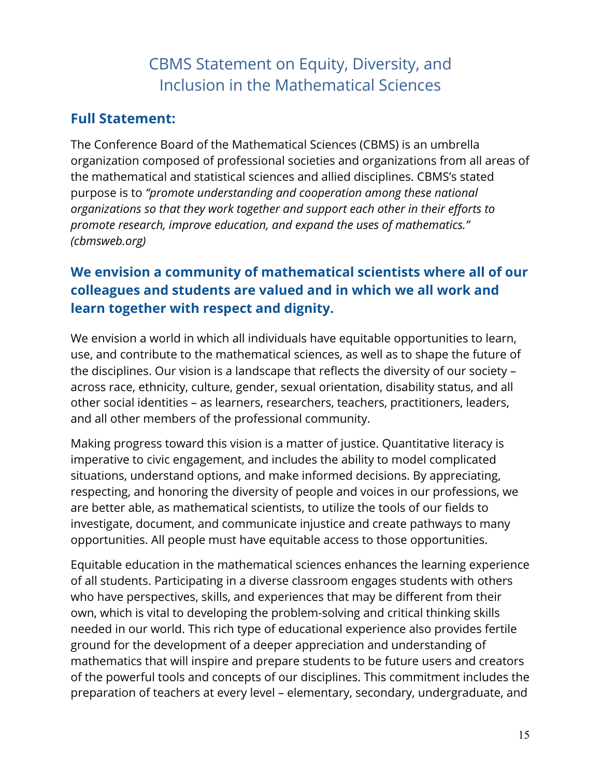# CBMS Statement on Equity, Diversity, and Inclusion in the Mathematical Sciences

# **Full Statement:**

The Conference Board of the Mathematical Sciences (CBMS) is an umbrella organization composed of professional societies and organizations from all areas of the mathematical and statistical sciences and allied disciplines. CBMS's stated purpose is to *"promote understanding and cooperation among these national organizations so that they work together and support each other in their efforts to promote research, improve education, and expand the uses of mathematics." (cbmsweb.org)*

# **We envision a community of mathematical scientists where all of our colleagues and students are valued and in which we all work and learn together with respect and dignity.**

We envision a world in which all individuals have equitable opportunities to learn, use, and contribute to the mathematical sciences, as well as to shape the future of the disciplines. Our vision is a landscape that reflects the diversity of our society – across race, ethnicity, culture, gender, sexual orientation, disability status, and all other social identities – as learners, researchers, teachers, practitioners, leaders, and all other members of the professional community.

Making progress toward this vision is a matter of justice. Quantitative literacy is imperative to civic engagement, and includes the ability to model complicated situations, understand options, and make informed decisions. By appreciating, respecting, and honoring the diversity of people and voices in our professions, we are better able, as mathematical scientists, to utilize the tools of our fields to investigate, document, and communicate injustice and create pathways to many opportunities. All people must have equitable access to those opportunities.

Equitable education in the mathematical sciences enhances the learning experience of all students. Participating in a diverse classroom engages students with others who have perspectives, skills, and experiences that may be different from their own, which is vital to developing the problem-solving and critical thinking skills needed in our world. This rich type of educational experience also provides fertile ground for the development of a deeper appreciation and understanding of mathematics that will inspire and prepare students to be future users and creators of the powerful tools and concepts of our disciplines. This commitment includes the preparation of teachers at every level – elementary, secondary, undergraduate, and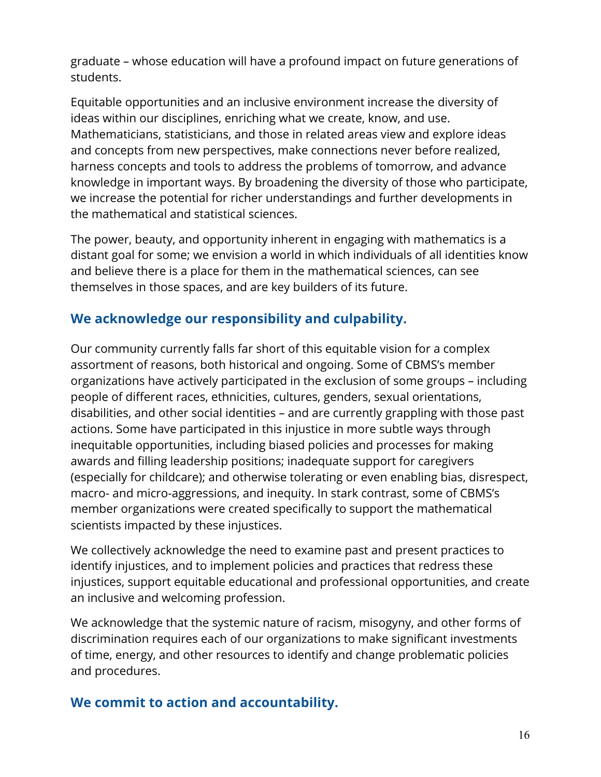graduate – whose education will have a profound impact on future generations of students.

Equitable opportunities and an inclusive environment increase the diversity of ideas within our disciplines, enriching what we create, know, and use. Mathematicians, statisticians, and those in related areas view and explore ideas and concepts from new perspectives, make connections never before realized, harness concepts and tools to address the problems of tomorrow, and advance knowledge in important ways. By broadening the diversity of those who participate, we increase the potential for richer understandings and further developments in the mathematical and statistical sciences.

The power, beauty, and opportunity inherent in engaging with mathematics is a distant goal for some; we envision a world in which individuals of all identities know and believe there is a place for them in the mathematical sciences, can see themselves in those spaces, and are key builders of its future.

# **We acknowledge our responsibility and culpability.**

Our community currently falls far short of this equitable vision for a complex assortment of reasons, both historical and ongoing. Some of CBMS's member organizations have actively participated in the exclusion of some groups – including people of different races, ethnicities, cultures, genders, sexual orientations, disabilities, and other social identities – and are currently grappling with those past actions. Some have participated in this injustice in more subtle ways through inequitable opportunities, including biased policies and processes for making awards and filling leadership positions; inadequate support for caregivers (especially for childcare); and otherwise tolerating or even enabling bias, disrespect, macro- and micro-aggressions, and inequity. In stark contrast, some of CBMS's member organizations were created specifically to support the mathematical scientists impacted by these injustices.

We collectively acknowledge the need to examine past and present practices to identify injustices, and to implement policies and practices that redress these injustices, support equitable educational and professional opportunities, and create an inclusive and welcoming profession.

We acknowledge that the systemic nature of racism, misogyny, and other forms of discrimination requires each of our organizations to make significant investments of time, energy, and other resources to identify and change problematic policies and procedures.

# **We commit to action and accountability.**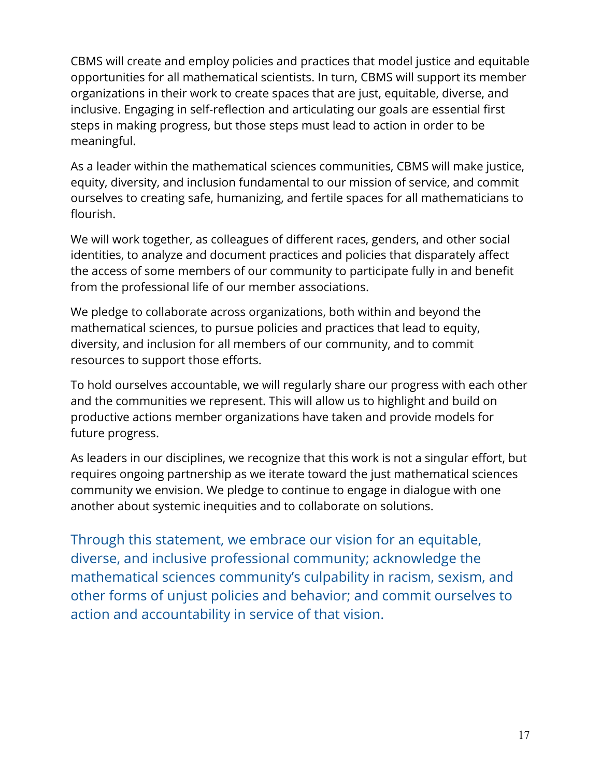CBMS will create and employ policies and practices that model justice and equitable opportunities for all mathematical scientists. In turn, CBMS will support its member organizations in their work to create spaces that are just, equitable, diverse, and inclusive. Engaging in self-reflection and articulating our goals are essential first steps in making progress, but those steps must lead to action in order to be meaningful.

As a leader within the mathematical sciences communities, CBMS will make justice, equity, diversity, and inclusion fundamental to our mission of service, and commit ourselves to creating safe, humanizing, and fertile spaces for all mathematicians to flourish.

We will work together, as colleagues of different races, genders, and other social identities, to analyze and document practices and policies that disparately affect the access of some members of our community to participate fully in and benefit from the professional life of our member associations.

We pledge to collaborate across organizations, both within and beyond the mathematical sciences, to pursue policies and practices that lead to equity, diversity, and inclusion for all members of our community, and to commit resources to support those efforts.

To hold ourselves accountable, we will regularly share our progress with each other and the communities we represent. This will allow us to highlight and build on productive actions member organizations have taken and provide models for future progress.

As leaders in our disciplines, we recognize that this work is not a singular effort, but requires ongoing partnership as we iterate toward the just mathematical sciences community we envision. We pledge to continue to engage in dialogue with one another about systemic inequities and to collaborate on solutions.

Through this statement, we embrace our vision for an equitable, diverse, and inclusive professional community; acknowledge the mathematical sciences community's culpability in racism, sexism, and other forms of unjust policies and behavior; and commit ourselves to action and accountability in service of that vision.